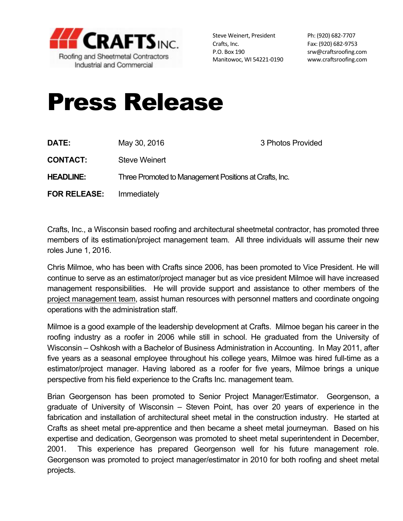

Steve Weinert, President Ph: (920) 682-7707 Crafts, Inc. 682-9753 P.O. Box 190 srw@craftsroofing.com Manitowoc, WI 54221-0190 www.craftsroofing.com

## Press Release

| DATE:               | May 30, 2016                                           | 3 Photos Provided |
|---------------------|--------------------------------------------------------|-------------------|
| <b>CONTACT:</b>     | Steve Weinert                                          |                   |
| <b>HEADLINE:</b>    | Three Promoted to Management Positions at Crafts, Inc. |                   |
| <b>FOR RELEASE:</b> | Immediately                                            |                   |

Crafts, Inc., a Wisconsin based roofing and architectural sheetmetal contractor, has promoted three members of its estimation/project management team. All three individuals will assume their new roles June 1, 2016.

Chris Milmoe, who has been with Crafts since 2006, has been promoted to Vice President. He will continue to serve as an estimator/project manager but as vice president Milmoe will have increased management responsibilities. He will provide support and assistance to other members of the project management team, assist human resources with personnel matters and coordinate ongoing operations with the administration staff.

Milmoe is a good example of the leadership development at Crafts. Milmoe began his career in the roofing industry as a roofer in 2006 while still in school. He graduated from the University of Wisconsin – Oshkosh with a Bachelor of Business Administration in Accounting. In May 2011, after five years as a seasonal employee throughout his college years, Milmoe was hired full-time as a estimator/project manager. Having labored as a roofer for five years, Milmoe brings a unique perspective from his field experience to the Crafts Inc. management team.

Brian Georgenson has been promoted to Senior Project Manager/Estimator. Georgenson, a graduate of University of Wisconsin – Steven Point, has over 20 years of experience in the fabrication and installation of architectural sheet metal in the construction industry. He started at Crafts as sheet metal pre-apprentice and then became a sheet metal journeyman. Based on his expertise and dedication, Georgenson was promoted to sheet metal superintendent in December, 2001. This experience has prepared Georgenson well for his future management role. Georgenson was promoted to project manager/estimator in 2010 for both roofing and sheet metal projects.